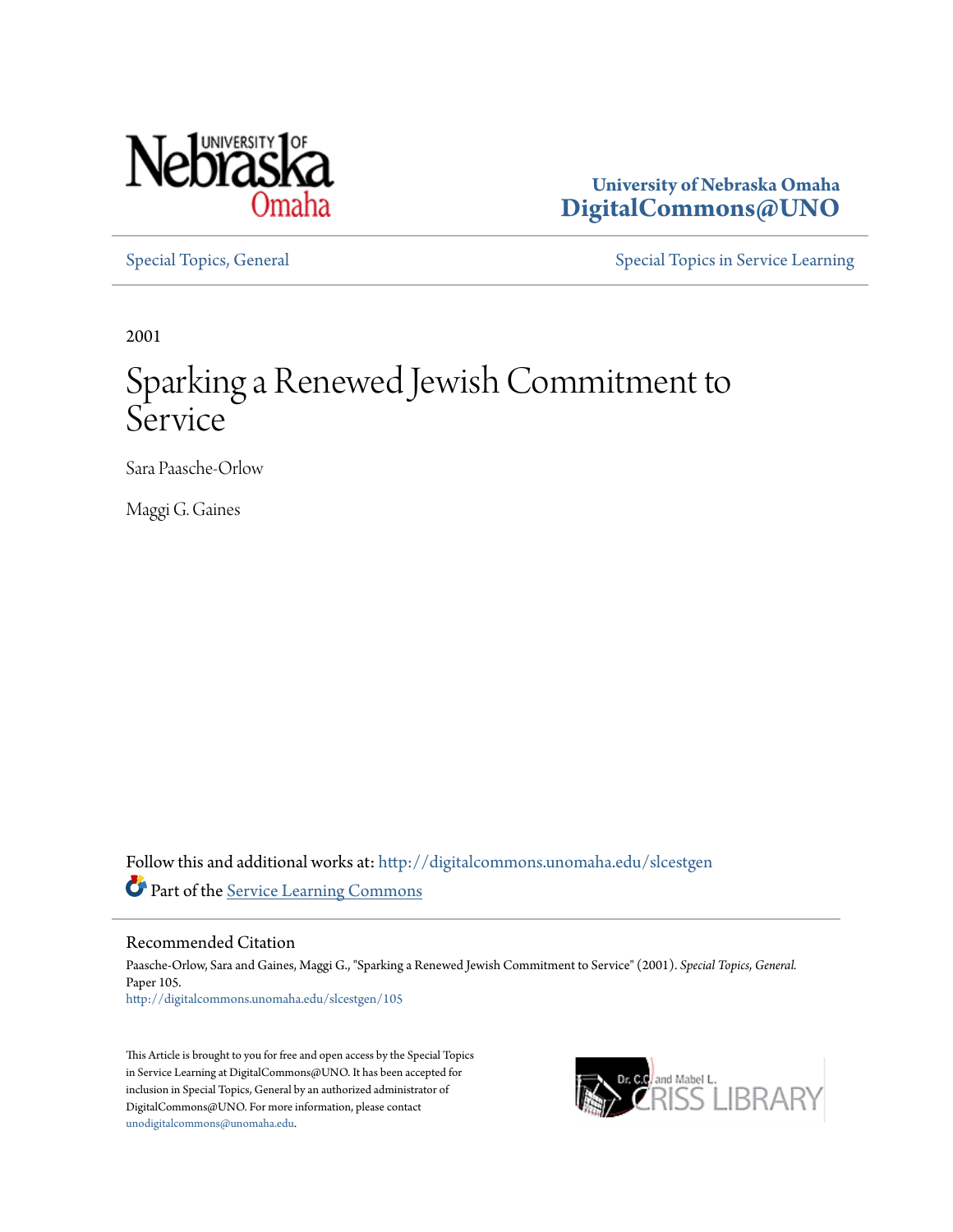

**University of Nebraska Omaha [DigitalCommons@UNO](http://digitalcommons.unomaha.edu?utm_source=digitalcommons.unomaha.edu%2Fslcestgen%2F105&utm_medium=PDF&utm_campaign=PDFCoverPages)**

[Special Topics, General](http://digitalcommons.unomaha.edu/slcestgen?utm_source=digitalcommons.unomaha.edu%2Fslcestgen%2F105&utm_medium=PDF&utm_campaign=PDFCoverPages) [Special Topics in Service Learning](http://digitalcommons.unomaha.edu/slcespecialtopics?utm_source=digitalcommons.unomaha.edu%2Fslcestgen%2F105&utm_medium=PDF&utm_campaign=PDFCoverPages)

2001

## Sparking a Renewed Jewish Commitment to Service

Sara Paasche-Orlow

Maggi G. Gaines

Follow this and additional works at: [http://digitalcommons.unomaha.edu/slcestgen](http://digitalcommons.unomaha.edu/slcestgen?utm_source=digitalcommons.unomaha.edu%2Fslcestgen%2F105&utm_medium=PDF&utm_campaign=PDFCoverPages) Part of the [Service Learning Commons](http://network.bepress.com/hgg/discipline/1024?utm_source=digitalcommons.unomaha.edu%2Fslcestgen%2F105&utm_medium=PDF&utm_campaign=PDFCoverPages)

Recommended Citation

Paasche-Orlow, Sara and Gaines, Maggi G., "Sparking a Renewed Jewish Commitment to Service" (2001). *Special Topics, General.* Paper 105. [http://digitalcommons.unomaha.edu/slcestgen/105](http://digitalcommons.unomaha.edu/slcestgen/105?utm_source=digitalcommons.unomaha.edu%2Fslcestgen%2F105&utm_medium=PDF&utm_campaign=PDFCoverPages)

This Article is brought to you for free and open access by the Special Topics in Service Learning at DigitalCommons@UNO. It has been accepted for inclusion in Special Topics, General by an authorized administrator of DigitalCommons@UNO. For more information, please contact [unodigitalcommons@unomaha.edu](mailto:unodigitalcommons@unomaha.edu).

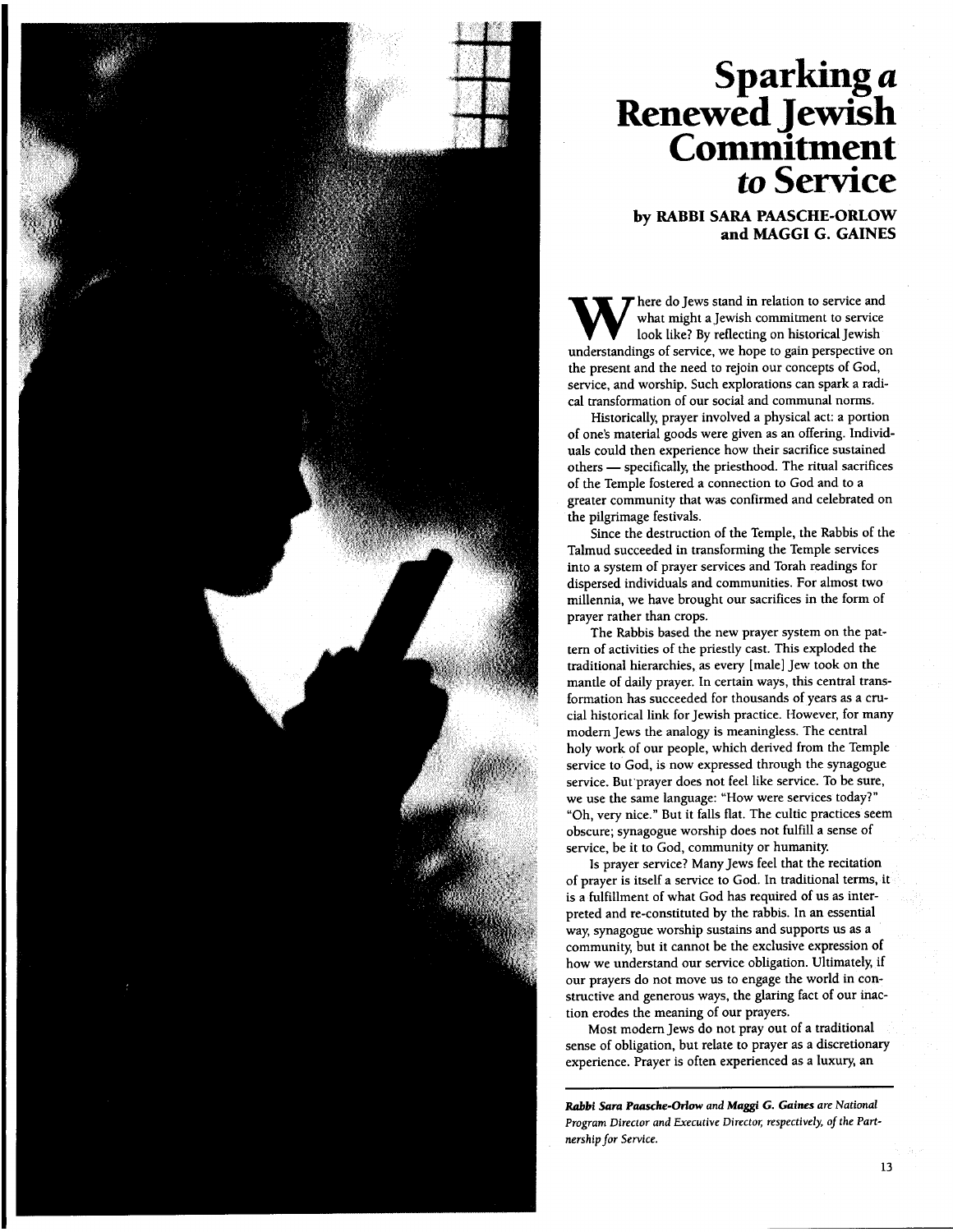

## **Sparking** *a*  **Renewed jewish Commitment**  *to* **Service**

**by RABBI SARA PAASCHE-ORLOW and MAGGI G. GAINES** 

W here do Jews stand in relation to service and<br>look like? By reflecting on historical Jewish<br>understandings of service we hope to gain perspective of what might a jewish commitment to service look like? By reflecting on historical Jewish understandings of service, we hope to gain perspective on the present and the need to rejoin our concepts of God, service, and worship. Such explorations can spark a radical transformation of our social and communal norms.

Historically, prayer involved a physical act: a portion of one's material goods were given as an offering. Individuals could then experience how their sacrifice sustained others - specifically, the priesthood. The ritual sacrifices of the Temple fostered a connection to God and to a greater community that was confirmed and celebrated on the pilgrimage festivals.

Since the destruction of the Temple, the Rabbis of the Talmud succeeded in transforming the Temple services into a system of prayer services and Torah readings for dispersed individuals and communities. For almost two millennia, we have brought our sacrifices in the form of prayer rather than crops.

The Rabbis based the new prayer system on the pattern of activities of the priestly cast. This exploded the traditional hierarchies, as every [male] jew took on the mantle of daily prayer. In certain ways, this central transformation has succeeded for thousands of years as a crucial historical link for jewish practice. However, for many modem Jews the analogy is meaningless. The central holy work of our people, which derived from the Temple service to God, is now expressed through the synagogue service. But prayer does not feel like service. To be sure, we use the same language: "How were services today?" "Oh, very nice." But it falls flat. The cultic practices seem obscure; synagogue worship does not fulfill a sense of service, be it to God, community or humanity.

Is prayer service? Many jews feel that the recitation of prayer is itself a service to God. In traditional terms, it is a fulfillment of what God has required of us as interpreted and re-constituted by the rabbis. In an essential way, synagogue worship sustains and supports us as a community, but it cannot be the exclusive expression of how we understand our service obligation. Ultimately, if our prayers do not move us to engage the world in constructive and generous ways, the glaring fact of our inaction erodes the meaning of our prayers.

Most modem jews do not pray out of a traditional sense of obligation, but relate to prayer as a discretionary experience. Prayer is often experienced as a luxury, an

**Rabbi Sara Paasche-Orlow and Maggi G. Gaines are National** *Program Director and Executive Director, respectively, of the Partnership for* Service.